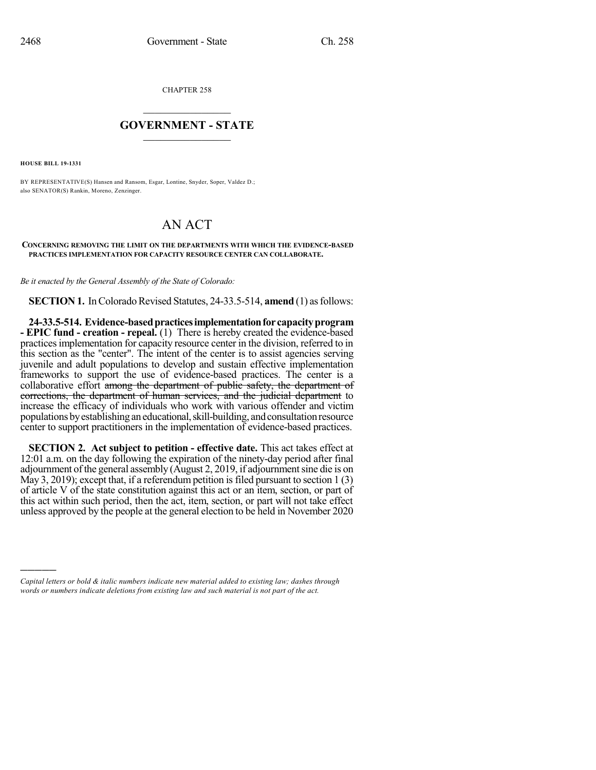CHAPTER 258

## $\mathcal{L}_\text{max}$  . The set of the set of the set of the set of the set of the set of the set of the set of the set of the set of the set of the set of the set of the set of the set of the set of the set of the set of the set **GOVERNMENT - STATE**  $\_$

**HOUSE BILL 19-1331**

)))))

BY REPRESENTATIVE(S) Hansen and Ransom, Esgar, Lontine, Snyder, Soper, Valdez D.; also SENATOR(S) Rankin, Moreno, Zenzinger.

## AN ACT

## **CONCERNING REMOVING THE LIMIT ON THE DEPARTMENTS WITH WHICH THE EVIDENCE-BASED PRACTICES IMPLEMENTATION FOR CAPACITY RESOURCE CENTER CAN COLLABORATE.**

*Be it enacted by the General Assembly of the State of Colorado:*

**SECTION 1.** In Colorado Revised Statutes, 24-33.5-514, **amend** (1) as follows:

**24-33.5-514. Evidence-basedpracticesimplementationfor capacityprogram - EPIC fund - creation - repeal.** (1) There is hereby created the evidence-based practicesimplementation for capacity resource center in the division, referred to in this section as the "center". The intent of the center is to assist agencies serving juvenile and adult populations to develop and sustain effective implementation frameworks to support the use of evidence-based practices. The center is a collaborative effort among the department of public safety, the department of corrections, the department of human services, and the judicial department to increase the efficacy of individuals who work with various offender and victim populations by establishing an educational, skill-building, and consultation resource center to support practitioners in the implementation of evidence-based practices.

**SECTION 2. Act subject to petition - effective date.** This act takes effect at 12:01 a.m. on the day following the expiration of the ninety-day period after final adjournment of the general assembly (August 2, 2019, if adjournment sine die is on May 3, 2019); except that, if a referendum petition is filed pursuant to section  $1(3)$ of article V of the state constitution against this act or an item, section, or part of this act within such period, then the act, item, section, or part will not take effect unless approved by the people at the general election to be held in November 2020

*Capital letters or bold & italic numbers indicate new material added to existing law; dashes through words or numbers indicate deletions from existing law and such material is not part of the act.*